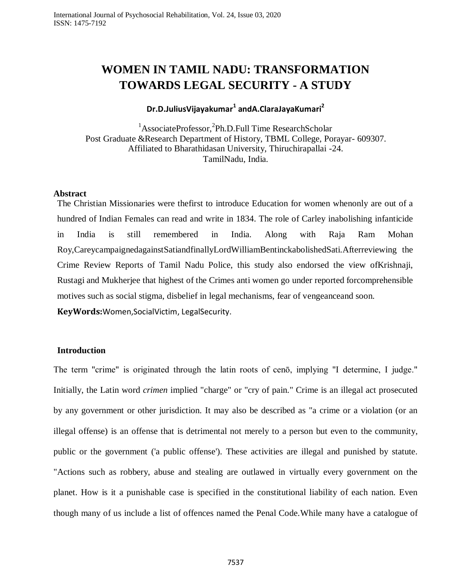# **WOMEN IN TAMIL NADU: TRANSFORMATION TOWARDS LEGAL SECURITY - A STUDY**

# **Dr.D.JuliusVijayakumar<sup>1</sup> andA.ClaraJayaKumari<sup>2</sup>**

<sup>1</sup>AssociateProfessor,<sup>2</sup>Ph.D.Full Time ResearchScholar Post Graduate &Research Department of History, TBML College, Porayar- 609307. Affiliated to Bharathidasan University, Thiruchirapallai -24. TamilNadu, India.

# **Abstract**

The Christian Missionaries were thefirst to introduce Education for women whenonly are out of a hundred of Indian Females can read and write in 1834. The role of Carley inabolishing infanticide in India is still remembered in India. Along with Raja Ram Mohan Roy,CareycampaignedagainstSatiandfinallyLordWilliamBentinckabolishedSati.Afterreviewing the Crime Review Reports of Tamil Nadu Police, this study also endorsed the view ofKrishnaji, Rustagi and Mukherjee that highest of the Crimes anti women go under reported forcomprehensible motives such as social stigma, disbelief in legal mechanisms, fear of vengeanceand soon.

**KeyWords:**Women,SocialVictim, LegalSecurity.

### **Introduction**

The term "crime" is originated through the latin roots of cenō, implying "I determine, I judge." Initially, the Latin word *crimen* implied "charge" or "cry of pain." Crime is an illegal act prosecuted by any government or other jurisdiction. It may also be described as "a crime or a violation (or an illegal offense) is an offense that is detrimental not merely to a person but even to the community, public or the government ('a public offense'). These activities are illegal and punished by statute. "Actions such as robbery, abuse and stealing are outlawed in virtually every government on the planet. How is it a punishable case is specified in the constitutional liability of each nation. Even though many of us include a list of offences named the Penal Code.While many have a catalogue of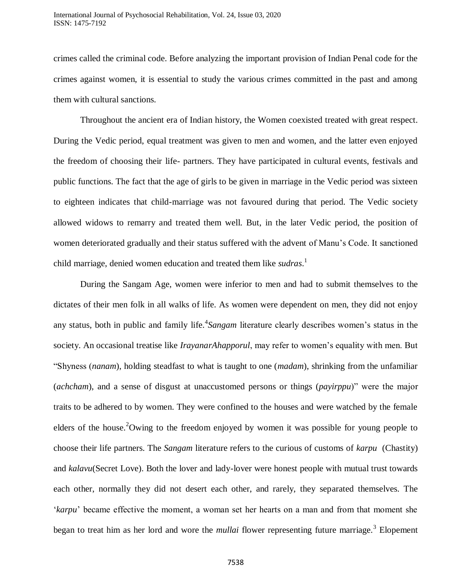crimes called the [criminal code.](https://en.wikipedia.org/wiki/Criminal_code) Before analyzing the important provision of Indian Penal code for the crimes against women, it is essential to study the various crimes committed in the past and among them with cultural sanctions.

Throughout the ancient era of Indian history, the Women coexisted treated with great respect. During the Vedic period, equal treatment was given to men and women, and the latter even enjoyed the freedom of choosing their life- partners. They have participated in cultural events, festivals and public functions. The fact that the age of girls to be given in marriage in the Vedic period was sixteen to eighteen indicates that child-marriage was not favoured during that period. The Vedic society allowed widows to remarry and treated them well. But, in the later Vedic period, the position of women deteriorated gradually and their status suffered with the advent of Manu"s Code. It sanctioned child marriage, denied women education and treated them like *sudras*. 1

During the Sangam Age, women were inferior to men and had to submit themselves to the dictates of their men folk in all walks of life. As women were dependent on men, they did not enjoy any status, both in public and family life.<sup>4</sup> Sangam literature clearly describes women's status in the society. An occasional treatise like *IrayanarAhapporul*, may refer to women"s equality with men. But "Shyness (*nanam*), holding steadfast to what is taught to one (*madam*), shrinking from the unfamiliar (*achcham*), and a sense of disgust at unaccustomed persons or things (*payirppu*)" were the major traits to be adhered to by women. They were confined to the houses and were watched by the female elders of the house.<sup>2</sup>Owing to the freedom enjoyed by women it was possible for young people to choose their life partners. The *Sangam* literature refers to the curious of customs of *karpu* (Chastity) and *kalavu*(Secret Love). Both the lover and lady-lover were honest people with mutual trust towards each other, normally they did not desert each other, and rarely, they separated themselves. The "*karpu*" became effective the moment, a woman set her hearts on a man and from that moment she began to treat him as her lord and wore the *mullai* flower representing future marriage.<sup>3</sup> Elopement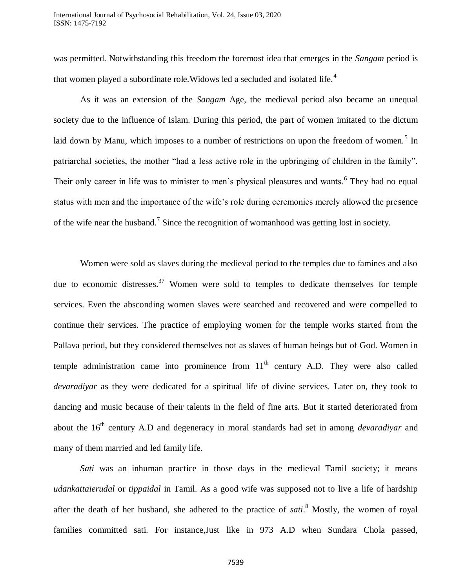was permitted. Notwithstanding this freedom the foremost idea that emerges in the *Sangam* period is that women played a subordinate role. Widows led a secluded and isolated life.<sup>4</sup>

As it was an extension of the *Sangam* Age, the medieval period also became an unequal society due to the influence of Islam. During this period, the part of women imitated to the dictum laid down by Manu, which imposes to a number of restrictions on upon the freedom of women.<sup>5</sup> In patriarchal societies, the mother "had a less active role in the upbringing of children in the family". Their only career in life was to minister to men's physical pleasures and wants.<sup>6</sup> They had no equal status with men and the importance of the wife"s role during ceremonies merely allowed the presence of the wife near the husband.<sup>7</sup> Since the recognition of womanhood was getting lost in society.

Women were sold as slaves during the medieval period to the temples due to famines and also due to economic distresses.<sup>37</sup> Women were sold to temples to dedicate themselves for temple services. Even the absconding women slaves were searched and recovered and were compelled to continue their services. The practice of employing women for the temple works started from the Pallava period, but they considered themselves not as slaves of human beings but of God. Women in temple administration came into prominence from  $11<sup>th</sup>$  century A.D. They were also called *devaradiyar* as they were dedicated for a spiritual life of divine services. Later on, they took to dancing and music because of their talents in the field of fine arts. But it started deteriorated from about the 16<sup>th</sup> century A.D and degeneracy in moral standards had set in among *devaradiyar* and many of them married and led family life.

*Sati* was an inhuman practice in those days in the medieval Tamil society; it means *udankattaierudal* or *tippaidal* in Tamil. As a good wife was supposed not to live a life of hardship after the death of her husband, she adhered to the practice of *sati*. <sup>8</sup> Mostly, the women of royal families committed sati. For instance,Just like in 973 A.D when Sundara Chola passed,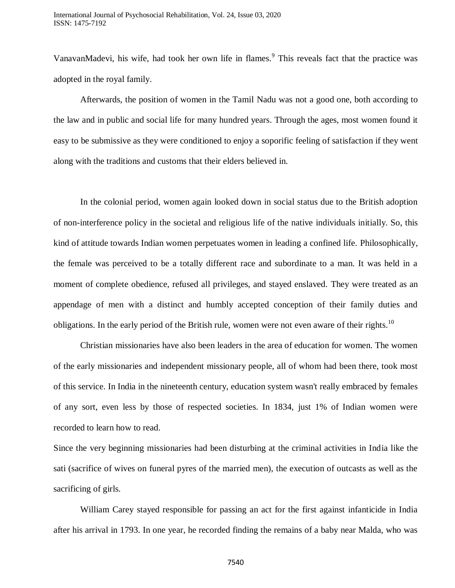VanavanMadevi, his wife, had took her own life in flames.<sup>9</sup> This reveals fact that the practice was adopted in the royal family.

Afterwards, the position of women in the Tamil Nadu was not a good one, both according to the law and in public and social life for many hundred years. Through the ages, most women found it easy to be submissive as they were conditioned to enjoy a soporific feeling of satisfaction if they went along with the traditions and customs that their elders believed in.

In the colonial period, women again looked down in social status due to the British adoption of non-interference policy in the societal and religious life of the native individuals initially. So, this kind of attitude towards Indian women perpetuates women in leading a confined life. Philosophically, the female was perceived to be a totally different race and subordinate to a man. It was held in a moment of complete obedience, refused all privileges, and stayed enslaved. They were treated as an appendage of men with a distinct and humbly accepted conception of their family duties and obligations. In the early period of the British rule, women were not even aware of their rights.<sup>10</sup>

Christian missionaries have also been leaders in the area of education for women. The women of the early missionaries and independent missionary people, all of whom had been there, took most of this service. In India in the nineteenth century, education system wasn't really embraced by females of any sort, even less by those of respected societies. In 1834, just 1% of Indian women were recorded to learn how to read.

Since the very beginning missionaries had been disturbing at the criminal activities in India like the sati (sacrifice of wives on funeral pyres of the married men), the execution of outcasts as well as the sacrificing of girls.

William Carey stayed responsible for passing an act for the first against infanticide in India after his arrival in 1793. In one year, he recorded finding the remains of a baby near Malda, who was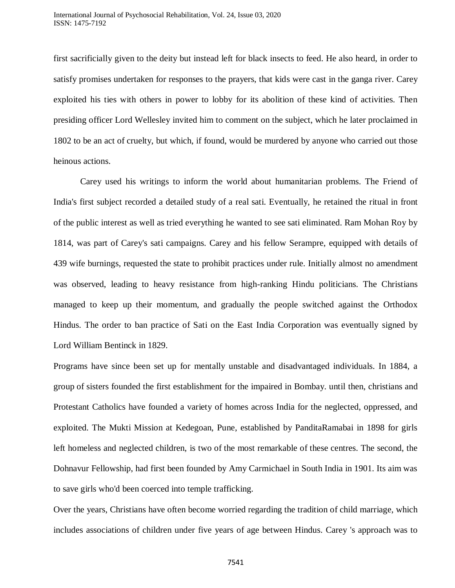first sacrificially given to the deity but instead left for black insects to feed. He also heard, in order to satisfy promises undertaken for responses to the prayers, that kids were cast in the ganga river. Carey exploited his ties with others in power to lobby for its abolition of these kind of activities. Then presiding officer Lord Wellesley invited him to comment on the subject, which he later proclaimed in 1802 to be an act of cruelty, but which, if found, would be murdered by anyone who carried out those heinous actions.

Carey used his writings to inform the world about humanitarian problems. The Friend of India's first subject recorded a detailed study of a real sati. Eventually, he retained the ritual in front of the public interest as well as tried everything he wanted to see sati eliminated. Ram Mohan Roy by 1814, was part of Carey's sati campaigns. Carey and his fellow Serampre, equipped with details of 439 wife burnings, requested the state to prohibit practices under rule. Initially almost no amendment was observed, leading to heavy resistance from high-ranking Hindu politicians. The Christians managed to keep up their momentum, and gradually the people switched against the Orthodox Hindus. The order to ban practice of Sati on the East India Corporation was eventually signed by Lord William Bentinck in 1829.

Programs have since been set up for mentally unstable and disadvantaged individuals. In 1884, a group of sisters founded the first establishment for the impaired in Bombay. until then, christians and Protestant Catholics have founded a variety of homes across India for the neglected, oppressed, and exploited. The Mukti Mission at Kedegoan, Pune, established by PanditaRamabai in 1898 for girls left homeless and neglected children, is two of the most remarkable of these centres. The second, the Dohnavur Fellowship, had first been founded by Amy Carmichael in South India in 1901. Its aim was to save girls who'd been coerced into temple trafficking.

Over the years, Christians have often become worried regarding the tradition of child marriage, which includes associations of children under five years of age between Hindus. Carey 's approach was to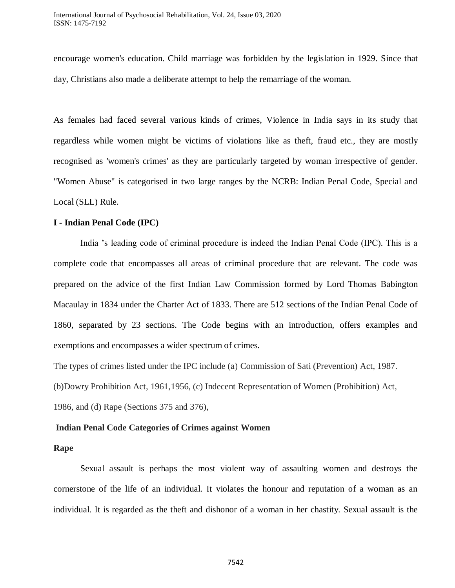encourage women's education. Child marriage was forbidden by the legislation in 1929. Since that day, Christians also made a deliberate attempt to help the remarriage of the woman.

As females had faced several various kinds of crimes, Violence in India says in its study that regardless while women might be victims of violations like as theft, fraud etc., they are mostly recognised as 'women's crimes' as they are particularly targeted by woman irrespective of gender. "Women Abuse" is categorised in two large ranges by the NCRB: Indian Penal Code, Special and Local (SLL) Rule.

# **I - Indian Penal Code (IPC)**

India "s leading code of criminal procedure is indeed the Indian Penal Code (IPC). This is a complete code that encompasses all areas of criminal procedure that are relevant. The code was prepared on the advice of the first Indian Law Commission formed by Lord Thomas Babington Macaulay in 1834 under the Charter Act of 1833. There are 512 sections of the Indian Penal Code of 1860, separated by 23 sections. The Code begins with an introduction, offers examples and exemptions and encompasses a wider spectrum of crimes.

The types of crimes listed under the IPC include (a) Commission of Sati (Prevention) Act, 1987. (b)Dowry Prohibition Act, 1961,1956, (c) Indecent Representation of Women (Prohibition) Act, 1986, and (d) Rape (Sections 375 and 376),

# **Indian Penal Code Categories of Crimes against Women**

### **Rape**

Sexual assault is perhaps the most violent way of assaulting women and destroys the cornerstone of the life of an individual. It violates the honour and reputation of a woman as an individual. It is regarded as the theft and dishonor of a woman in her chastity. Sexual assault is the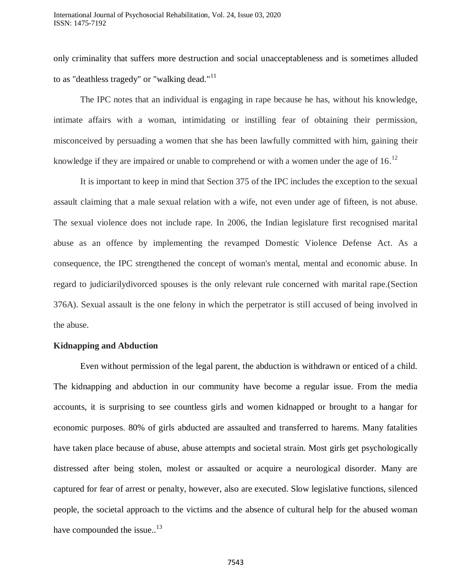only criminality that suffers more destruction and social unacceptableness and is sometimes alluded to as "deathless tragedy" or "walking dead." $11$ 

The IPC notes that an individual is engaging in rape because he has, without his knowledge, intimate affairs with a woman, intimidating or instilling fear of obtaining their permission, misconceived by persuading a women that she has been lawfully committed with him, gaining their knowledge if they are impaired or unable to comprehend or with a women under the age of  $16$ .<sup>12</sup>

It is important to keep in mind that Section 375 of the IPC includes the exception to the sexual assault claiming that a male sexual relation with a wife, not even under age of fifteen, is not abuse. The sexual violence does not include rape. In 2006, the Indian legislature first recognised marital abuse as an offence by implementing the revamped Domestic Violence Defense Act. As a consequence, the IPC strengthened the concept of woman's mental, mental and economic abuse. In regard to judiciarilydivorced spouses is the only relevant rule concerned with marital rape.(Section 376A). Sexual assault is the one felony in which the perpetrator is still accused of being involved in the abuse.

#### **Kidnapping and Abduction**

Even without permission of the legal parent, the abduction is withdrawn or enticed of a child. The kidnapping and abduction in our community have become a regular issue. From the media accounts, it is surprising to see countless girls and women kidnapped or brought to a hangar for economic purposes. 80% of girls abducted are assaulted and transferred to harems. Many fatalities have taken place because of abuse, abuse attempts and societal strain. Most girls get psychologically distressed after being stolen, molest or assaulted or acquire a neurological disorder. Many are captured for fear of arrest or penalty, however, also are executed. Slow legislative functions, silenced people, the societal approach to the victims and the absence of cultural help for the abused woman have compounded the issue..<sup>13</sup>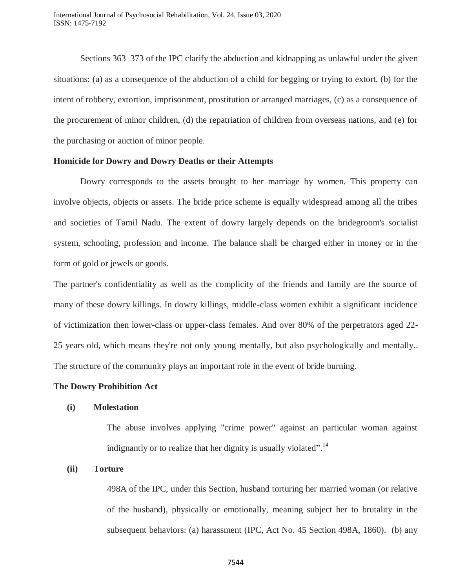Sections 363–373 of the IPC clarify the abduction and kidnapping as unlawful under the given situations: (a) as a consequence of the abduction of a child for begging or trying to extort, (b) for the intent of robbery, extortion, imprisonment, prostitution or arranged marriages, (c) as a consequence of the procurement of minor children, (d) the repatriation of children from overseas nations, and (e) for the purchasing or auction of minor people.

#### **Homicide for Dowry and Dowry Deaths or their Attempts**

Dowry corresponds to the assets brought to her marriage by women. This property can involve objects, objects or assets. The bride price scheme is equally widespread among all the tribes and societies of Tamil Nadu. The extent of dowry largely depends on the bridegroom's socialist system, schooling, profession and income. The balance shall be charged either in money or in the form of gold or jewels or goods.

The partner's confidentiality as well as the complicity of the friends and family are the source of many of these dowry killings. In dowry killings, middle-class women exhibit a significant incidence of victimization then lower-class or upper-class females. And over 80% of the perpetrators aged 22- 25 years old, which means they're not only young mentally, but also psychologically and mentally.. The structure of the community plays an important role in the event of bride burning.

#### **The Dowry Prohibition Act**

#### **(i) Molestation**

The abuse involves applying "crime power" against an particular woman against indignantly or to realize that her dignity is usually violated".<sup>14</sup>

#### **(ii) Torture**

498A of the IPC, under this Section, husband torturing her married woman (or relative of the husband), physically or emotionally, meaning subject her to brutality in the subsequent behaviors: (a) harassment (IPC, Act No. 45 Section 498A, 1860). (b) any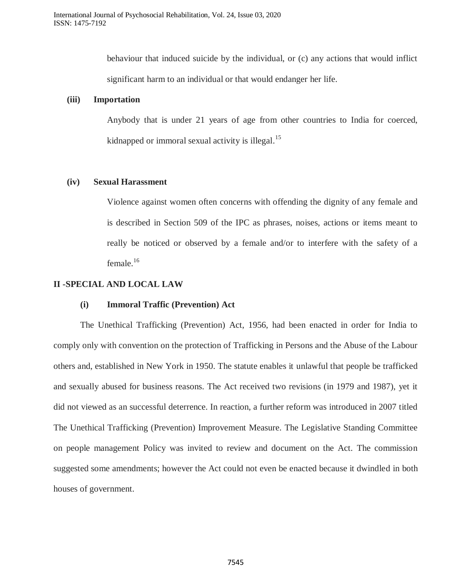behaviour that induced suicide by the individual, or (c) any actions that would inflict significant harm to an individual or that would endanger her life.

### **(iii) Importation**

Anybody that is under 21 years of age from other countries to India for coerced, kidnapped or immoral sexual activity is illegal.<sup>15</sup>

### **(iv) Sexual Harassment**

Violence against women often concerns with offending the dignity of any female and is described in Section 509 of the IPC as phrases, noises, actions or items meant to really be noticed or observed by a female and/or to interfere with the safety of a female.<sup>16</sup>

# **II -SPECIAL AND LOCAL LAW**

### **(i) Immoral Traffic (Prevention) Act**

The Unethical Trafficking (Prevention) Act, 1956, had been enacted in order for India to comply only with convention on the protection of Trafficking in Persons and the Abuse of the Labour others and, established in New York in 1950. The statute enables it unlawful that people be trafficked and sexually abused for business reasons. The Act received two revisions (in 1979 and 1987), yet it did not viewed as an successful deterrence. In reaction, a further reform was introduced in 2007 titled The Unethical Trafficking (Prevention) Improvement Measure. The Legislative Standing Committee on people management Policy was invited to review and document on the Act. The commission suggested some amendments; however the Act could not even be enacted because it dwindled in both houses of government.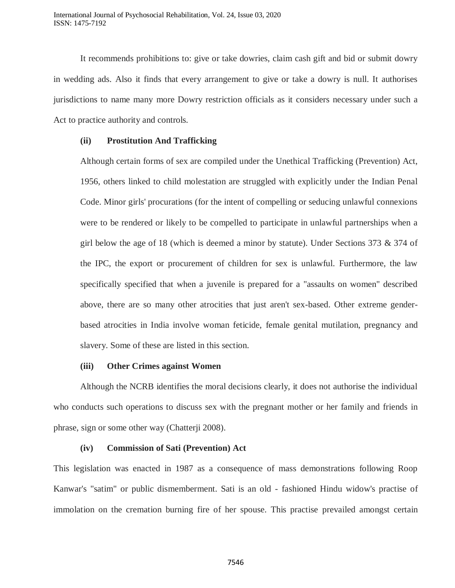It recommends prohibitions to: give or take dowries, claim cash gift and bid or submit dowry in wedding ads. Also it finds that every arrangement to give or take a dowry is null. It authorises jurisdictions to name many more Dowry restriction officials as it considers necessary under such a Act to practice authority and controls.

### **(ii) Prostitution And Trafficking**

Although certain forms of sex are compiled under the Unethical Trafficking (Prevention) Act, 1956, others linked to child molestation are struggled with explicitly under the Indian Penal Code. Minor girls' procurations (for the intent of compelling or seducing unlawful connexions were to be rendered or likely to be compelled to participate in unlawful partnerships when a girl below the age of 18 (which is deemed a minor by statute). Under Sections 373 & 374 of the IPC, the export or procurement of children for sex is unlawful. Furthermore, the law specifically specified that when a juvenile is prepared for a "assaults on women" described above, there are so many other atrocities that just aren't sex-based. Other extreme genderbased atrocities in India involve woman feticide, female genital mutilation, pregnancy and slavery. Some of these are listed in this section.

### **(iii) Other Crimes against Women**

Although the NCRB identifies the moral decisions clearly, it does not authorise the individual who conducts such operations to discuss sex with the pregnant mother or her family and friends in phrase, sign or some other way (Chatterji 2008).

### **(iv) Commission of Sati (Prevention) Act**

This legislation was enacted in 1987 as a consequence of mass demonstrations following Roop Kanwar's "satim" or public dismemberment. Sati is an old - fashioned Hindu widow's practise of immolation on the cremation burning fire of her spouse. This practise prevailed amongst certain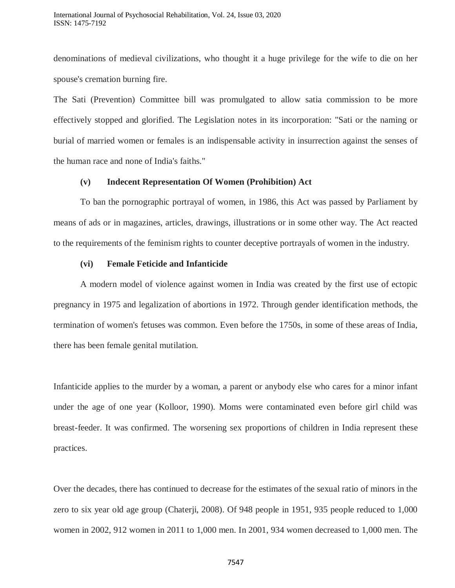denominations of medieval civilizations, who thought it a huge privilege for the wife to die on her spouse's cremation burning fire.

The Sati (Prevention) Committee bill was promulgated to allow satia commission to be more effectively stopped and glorified. The Legislation notes in its incorporation: "Sati or the naming or burial of married women or females is an indispensable activity in insurrection against the senses of the human race and none of India's faiths."

### **(v) Indecent Representation Of Women (Prohibition) Act**

To ban the pornographic portrayal of women, in 1986, this Act was passed by Parliament by means of ads or in magazines, articles, drawings, illustrations or in some other way. The Act reacted to the requirements of the feminism rights to counter deceptive portrayals of women in the industry.

#### **(vi) Female Feticide and Infanticide**

A modern model of violence against women in India was created by the first use of ectopic pregnancy in 1975 and legalization of abortions in 1972. Through gender identification methods, the termination of women's fetuses was common. Even before the 1750s, in some of these areas of India, there has been female genital mutilation.

Infanticide applies to the murder by a woman, a parent or anybody else who cares for a minor infant under the age of one year (Kolloor, 1990). Moms were contaminated even before girl child was breast-feeder. It was confirmed. The worsening sex proportions of children in India represent these practices.

Over the decades, there has continued to decrease for the estimates of the sexual ratio of minors in the zero to six year old age group (Chaterji, 2008). Of 948 people in 1951, 935 people reduced to 1,000 women in 2002, 912 women in 2011 to 1,000 men. In 2001, 934 women decreased to 1,000 men. The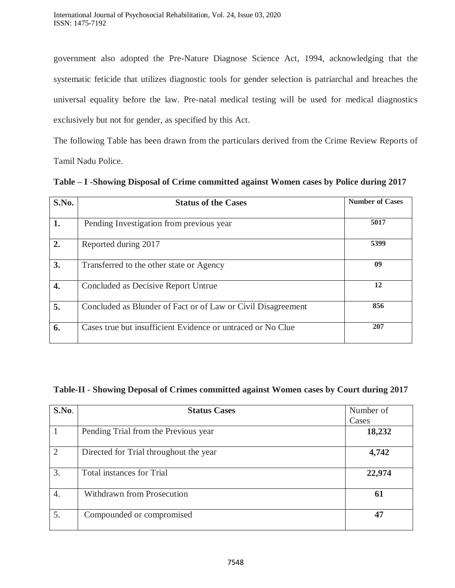government also adopted the Pre-Nature Diagnose Science Act, 1994, acknowledging that the systematic feticide that utilizes diagnostic tools for gender selection is patriarchal and breaches the universal equality before the law. Pre-natal medical testing will be used for medical diagnostics exclusively but not for gender, as specified by this Act.

The following Table has been drawn from the particulars derived from the Crime Review Reports of Tamil Nadu Police.

| S.No.            | <b>Status of the Cases</b>                                   | <b>Number of Cases</b> |
|------------------|--------------------------------------------------------------|------------------------|
| 1.               | Pending Investigation from previous year                     | 5017                   |
| 2.               | Reported during 2017                                         | 5399                   |
| 3.               | Transferred to the other state or Agency                     | 09                     |
| $\overline{4}$ . | Concluded as Decisive Report Untrue                          | 12                     |
| 5.               | Concluded as Blunder of Fact or of Law or Civil Disagreement | 856                    |
| 6.               | Cases true but insufficient Evidence or untraced or No Clue  | 207                    |

**Table – I -Showing Disposal of Crime committed against Women cases by Police during 2017**

# **Table-II - Showing Deposal of Crimes committed against Women cases by Court during 2017**

| S.No.            | <b>Status Cases</b>                    | Number of |
|------------------|----------------------------------------|-----------|
|                  |                                        | Cases     |
|                  | Pending Trial from the Previous year   | 18,232    |
| 2                | Directed for Trial throughout the year | 4,742     |
| 3.               | <b>Total instances for Trial</b>       | 22,974    |
| $\overline{4}$ . | Withdrawn from Prosecution             | 61        |
| 5.               | Compounded or compromised              | 47        |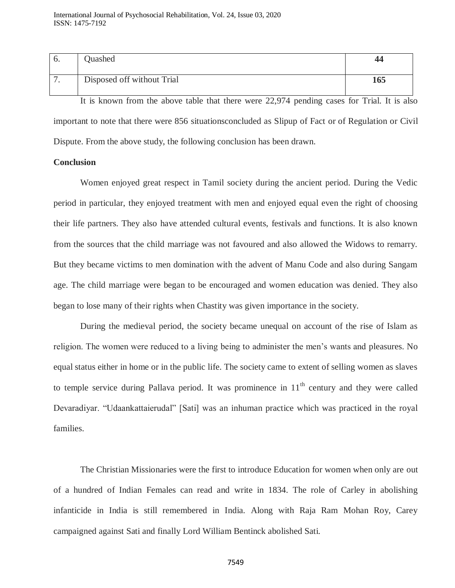| Disposed off without Trial | 165 |
|----------------------------|-----|

It is known from the above table that there were 22,974 pending cases for Trial. It is also important to note that there were 856 situationsconcluded as Slipup of Fact or of Regulation or Civil Dispute. From the above study, the following conclusion has been drawn.

#### **Conclusion**

Women enjoyed great respect in Tamil society during the ancient period. During the Vedic period in particular, they enjoyed treatment with men and enjoyed equal even the right of choosing their life partners. They also have attended cultural events, festivals and functions. It is also known from the sources that the child marriage was not favoured and also allowed the Widows to remarry. But they became victims to men domination with the advent of Manu Code and also during Sangam age. The child marriage were began to be encouraged and women education was denied. They also began to lose many of their rights when Chastity was given importance in the society.

During the medieval period, the society became unequal on account of the rise of Islam as religion. The women were reduced to a living being to administer the men"s wants and pleasures. No equal status either in home or in the public life. The society came to extent of selling women as slaves to temple service during Pallava period. It was prominence in  $11<sup>th</sup>$  century and they were called Devaradiyar. "Udaankattaierudal" [Sati] was an inhuman practice which was practiced in the royal families.

The Christian Missionaries were the first to introduce Education for women when only are out of a hundred of Indian Females can read and write in 1834. The role of Carley in abolishing infanticide in India is still remembered in India. Along with Raja Ram Mohan Roy, Carey campaigned against Sati and finally Lord William Bentinck abolished Sati.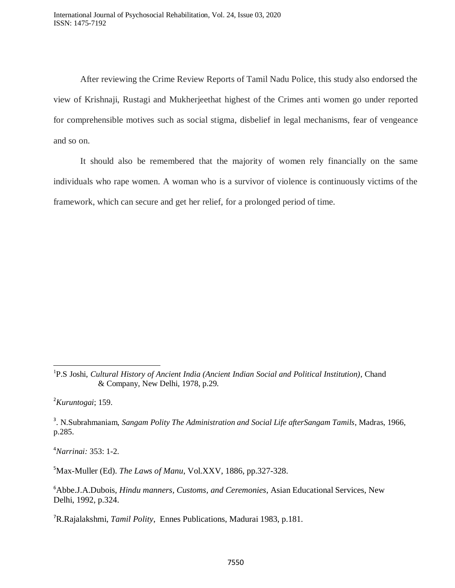After reviewing the Crime Review Reports of Tamil Nadu Police, this study also endorsed the view of Krishnaji, Rustagi and Mukherjeethat highest of the Crimes anti women go under reported for comprehensible motives such as social stigma, disbelief in legal mechanisms, fear of vengeance and so on.

It should also be remembered that the majority of women rely financially on the same individuals who rape women. A woman who is a survivor of violence is continuously victims of the framework, which can secure and get her relief, for a prolonged period of time.

<sup>2</sup>*Kuruntogai*; 159.

 $\overline{\phantom{a}}$ 

<sup>4</sup>*Narrinai:* 353: 1-2.

<sup>5</sup>Max-Muller (Ed). *The Laws of Manu*, Vol.XXV, 1886, pp.327-328.

<sup>6</sup>Abbe.J.A.Dubois, *Hindu manners, Customs, and Ceremonies*, Asian Educational Services, New Delhi, 1992, p.324.

<sup>1</sup> P.S Joshi, *Cultural History of Ancient India (Ancient Indian Social and Political Institution)*, Chand & Company, New Delhi, 1978, p.29.

<sup>3</sup> . N.Subrahmaniam, *Sangam Polity The Administration and Social Life afterSangam Tamils*, Madras, 1966, p.285.

<sup>7</sup>R.Rajalakshmi, *Tamil Polity*, Ennes Publications, Madurai 1983, p.181.